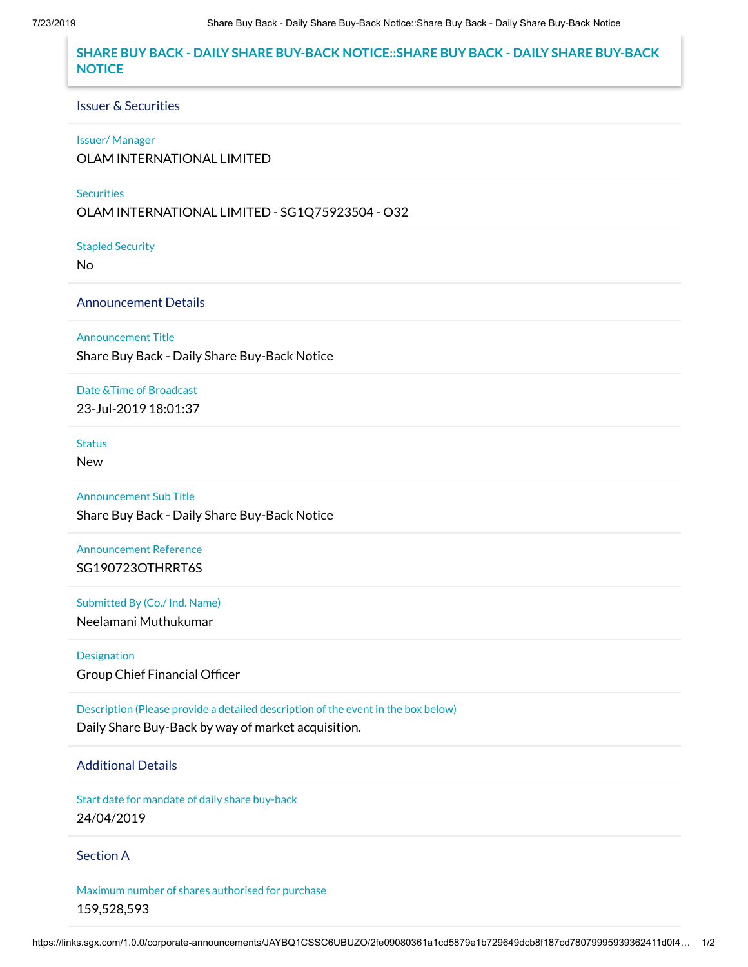# **SHARE BUY BACK - DAILY SHARE BUY-BACK NOTICE::SHARE BUY BACK - DAILY SHARE BUY-BACK NOTICE**

#### Issuer & Securities

#### Issuer/ Manager

OLAM INTERNATIONAL LIMITED

### **Securities**

OLAM INTERNATIONAL LIMITED - SG1Q75923504 - O32

Stapled Security

No

## Announcement Details

Announcement Title

Share Buy Back - Daily Share Buy-Back Notice

Date &Time of Broadcast 23-Jul-2019 18:01:37

### **Status**

New

Announcement Sub Title Share Buy Back - Daily Share Buy-Back Notice

Announcement Reference SG190723OTHRRT6S

Submitted By (Co./ Ind. Name) Neelamani Muthukumar

Designation Group Chief Financial Officer

Description (Please provide a detailed description of the event in the box below) Daily Share Buy-Back by way of market acquisition.

# Additional Details

Start date for mandate of daily share buy-back 24/04/2019

## Section A

Maximum number of shares authorised for purchase 159,528,593